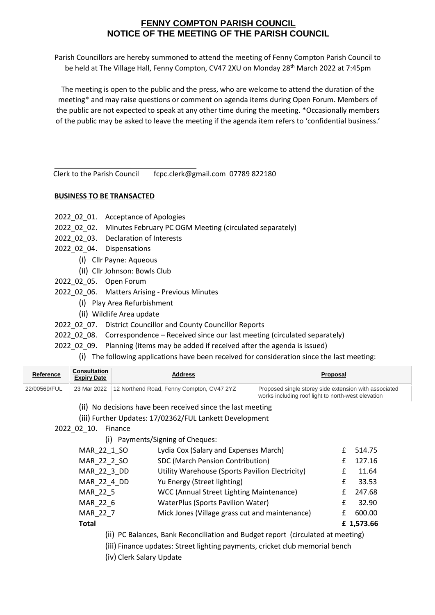## **FENNY COMPTON PARISH COUNCIL NOTICE OF THE MEETING OF THE PARISH COUNCIL**

Parish Councillors are hereby summoned to attend the meeting of Fenny Compton Parish Council to be held at The Village Hall, Fenny Compton, CV47 2XU on Monday 28<sup>th</sup> March 2022 at 7:45pm

The meeting is open to the public and the press, who are welcome to attend the duration of the meeting\* and may raise questions or comment on agenda items during Open Forum. Members of the public are not expected to speak at any other time during the meeting. \*Occasionally members of the public may be asked to leave the meeting if the agenda item refers to 'confidential business.'

Clerk to the Parish Council fcpc.clerk@gmail.com 07789 822180

## **BUSINESS TO BE TRANSACTED**

- 2022 02 01. Acceptance of Apologies
- 2022\_02\_02. Minutes February PC OGM Meeting (circulated separately)
- 2022\_02\_03. Declaration of Interests
- 2022\_02\_04. Dispensations
	- (i) Cllr Payne: Aqueous
	- (ii) Cllr Johnson: Bowls Club
- 2022\_02\_05. Open Forum
- 2022\_02\_06. Matters Arising Previous Minutes
	- (i) Play Area Refurbishment
	- (ii) Wildlife Area update
- 2022\_02\_07. District Councillor and County Councillor Reports
- 2022\_02\_08. Correspondence Received since our last meeting (circulated separately)
- 2022 02 09. Planning (items may be added if received after the agenda is issued)
	- (i) The following applications have been received for consideration since the last meeting:

| Reference                        | <b>Consultation</b><br><b>Expiry Date</b> | <b>Address</b>                                                                                  |                                                                                 | <b>Proposal</b> |                                                       |            |  |
|----------------------------------|-------------------------------------------|-------------------------------------------------------------------------------------------------|---------------------------------------------------------------------------------|-----------------|-------------------------------------------------------|------------|--|
| 22/00569/FUL                     | 23 Mar 2022                               | 12 Northend Road, Fenny Compton, CV47 2YZ<br>works including roof light to north-west elevation |                                                                                 |                 | Proposed single storey side extension with associated |            |  |
|                                  |                                           |                                                                                                 | (ii) No decisions have been received since the last meeting                     |                 |                                                       |            |  |
|                                  |                                           |                                                                                                 | (iii) Further Updates: 17/02362/FUL Lankett Development                         |                 |                                                       |            |  |
|                                  | 2022_02_10.                               | Finance                                                                                         |                                                                                 |                 |                                                       |            |  |
| (i) Payments/Signing of Cheques: |                                           |                                                                                                 |                                                                                 |                 |                                                       |            |  |
|                                  | MAR 22 1 SO                               |                                                                                                 | Lydia Cox (Salary and Expenses March)                                           |                 | £                                                     | 514.75     |  |
|                                  | MAR 22 2 SO                               |                                                                                                 | SDC (March Pension Contribution)                                                |                 | £                                                     | 127.16     |  |
|                                  | MAR_22_3_DD                               |                                                                                                 | Utility Warehouse (Sports Pavilion Electricity)                                 |                 | £                                                     | 11.64      |  |
|                                  | MAR_22_4_DD                               |                                                                                                 | Yu Energy (Street lighting)                                                     |                 | £                                                     | 33.53      |  |
|                                  | MAR_22_5                                  |                                                                                                 | WCC (Annual Street Lighting Maintenance)                                        |                 | £                                                     | 247.68     |  |
|                                  | MAR_22_6                                  |                                                                                                 | <b>WaterPlus (Sports Pavilion Water)</b>                                        |                 | £                                                     | 32.90      |  |
|                                  | MAR_22_7                                  |                                                                                                 | Mick Jones (Village grass cut and maintenance)                                  |                 | £                                                     | 600.00     |  |
| Total                            |                                           |                                                                                                 |                                                                                 |                 |                                                       | £ 1,573.66 |  |
|                                  |                                           |                                                                                                 | (ii) PC Balances, Bank Reconciliation and Budget report (circulated at meeting) |                 |                                                       |            |  |
|                                  |                                           |                                                                                                 | (iii) Finance updates: Street lighting payments, cricket club memorial bench    |                 |                                                       |            |  |
|                                  |                                           | (iv) Clerk Salary Update                                                                        |                                                                                 |                 |                                                       |            |  |